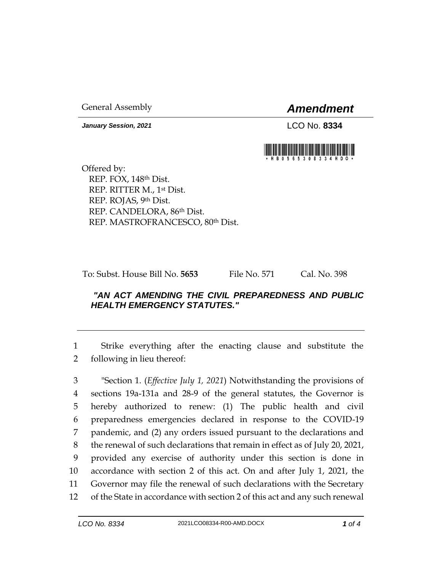General Assembly *Amendment*

*January Session, 2021* LCO No. **8334**



Offered by: REP. FOX, 148th Dist. REP. RITTER M., 1st Dist. REP. ROJAS, 9th Dist. REP. CANDELORA, 86th Dist. REP. MASTROFRANCESCO, 80th Dist.

To: Subst. House Bill No. **5653** File No. 571 Cal. No. 398

## *"AN ACT AMENDING THE CIVIL PREPAREDNESS AND PUBLIC HEALTH EMERGENCY STATUTES."*

1 Strike everything after the enacting clause and substitute the 2 following in lieu thereof:

 "Section 1. (*Effective July 1, 2021*) Notwithstanding the provisions of sections 19a-131a and 28-9 of the general statutes, the Governor is hereby authorized to renew: (1) The public health and civil preparedness emergencies declared in response to the COVID-19 pandemic, and (2) any orders issued pursuant to the declarations and the renewal of such declarations that remain in effect as of July 20, 2021, provided any exercise of authority under this section is done in accordance with section 2 of this act. On and after July 1, 2021, the Governor may file the renewal of such declarations with the Secretary of the State in accordance with section 2 of this act and any such renewal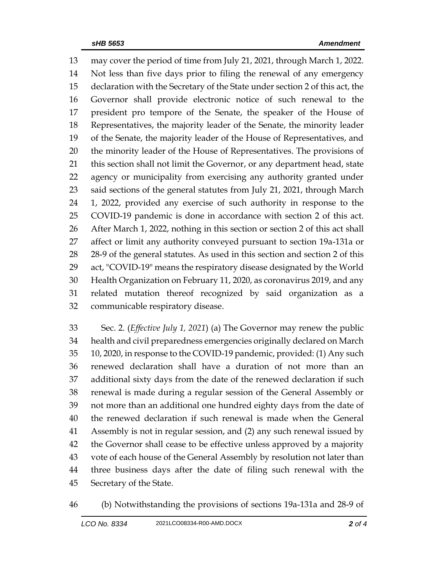may cover the period of time from July 21, 2021, through March 1, 2022. Not less than five days prior to filing the renewal of any emergency declaration with the Secretary of the State under section 2 of this act, the Governor shall provide electronic notice of such renewal to the president pro tempore of the Senate, the speaker of the House of Representatives, the majority leader of the Senate, the minority leader of the Senate, the majority leader of the House of Representatives, and the minority leader of the House of Representatives. The provisions of 21 this section shall not limit the Governor, or any department head, state agency or municipality from exercising any authority granted under 23 said sections of the general statutes from July 21, 2021, through March 1, 2022, provided any exercise of such authority in response to the COVID-19 pandemic is done in accordance with section 2 of this act. After March 1, 2022, nothing in this section or section 2 of this act shall affect or limit any authority conveyed pursuant to section 19a-131a or 28-9 of the general statutes. As used in this section and section 2 of this act, "COVID-19" means the respiratory disease designated by the World Health Organization on February 11, 2020, as coronavirus 2019, and any related mutation thereof recognized by said organization as a communicable respiratory disease.

 Sec. 2. (*Effective July 1, 2021*) (a) The Governor may renew the public health and civil preparedness emergencies originally declared on March 10, 2020, in response to the COVID-19 pandemic, provided: (1) Any such renewed declaration shall have a duration of not more than an additional sixty days from the date of the renewed declaration if such renewal is made during a regular session of the General Assembly or not more than an additional one hundred eighty days from the date of the renewed declaration if such renewal is made when the General Assembly is not in regular session, and (2) any such renewal issued by the Governor shall cease to be effective unless approved by a majority vote of each house of the General Assembly by resolution not later than three business days after the date of filing such renewal with the Secretary of the State.

(b) Notwithstanding the provisions of sections 19a-131a and 28-9 of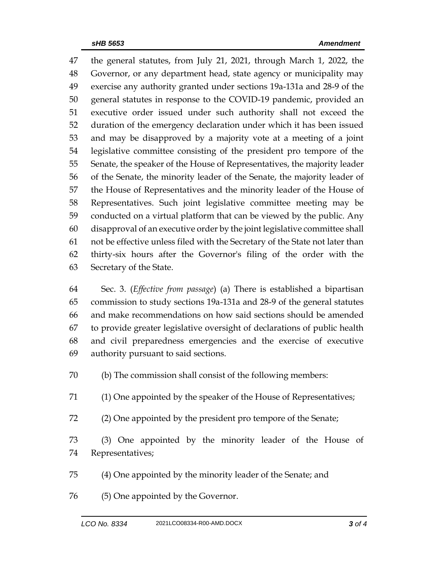the general statutes, from July 21, 2021, through March 1, 2022, the Governor, or any department head, state agency or municipality may exercise any authority granted under sections 19a-131a and 28-9 of the general statutes in response to the COVID-19 pandemic, provided an executive order issued under such authority shall not exceed the duration of the emergency declaration under which it has been issued and may be disapproved by a majority vote at a meeting of a joint legislative committee consisting of the president pro tempore of the Senate, the speaker of the House of Representatives, the majority leader of the Senate, the minority leader of the Senate, the majority leader of the House of Representatives and the minority leader of the House of Representatives. Such joint legislative committee meeting may be conducted on a virtual platform that can be viewed by the public. Any disapproval of an executive order by the joint legislative committee shall not be effective unless filed with the Secretary of the State not later than thirty-six hours after the Governor's filing of the order with the Secretary of the State.

 Sec. 3. (*Effective from passage*) (a) There is established a bipartisan commission to study sections 19a-131a and 28-9 of the general statutes and make recommendations on how said sections should be amended to provide greater legislative oversight of declarations of public health and civil preparedness emergencies and the exercise of executive authority pursuant to said sections.

- (b) The commission shall consist of the following members:
- (1) One appointed by the speaker of the House of Representatives;
- (2) One appointed by the president pro tempore of the Senate;

 (3) One appointed by the minority leader of the House of Representatives;

- (4) One appointed by the minority leader of the Senate; and
- (5) One appointed by the Governor.